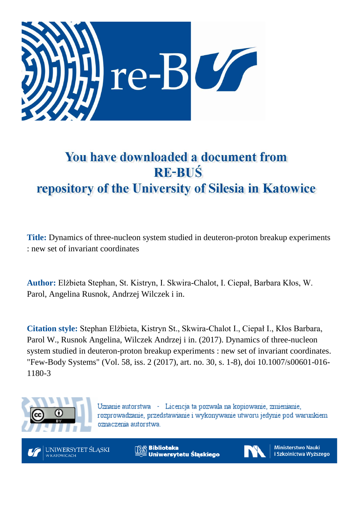

# You have downloaded a document from **RE-BUŚ** repository of the University of Silesia in Katowice

**Title:** Dynamics of three-nucleon system studied in deuteron-proton breakup experiments : new set of invariant coordinates

**Author:** Elżbieta Stephan, St. Kistryn, I. Skwira-Chalot, I. Ciepał, Barbara Kłos, W. Parol, Angelina Rusnok, Andrzej Wilczek i in.

**Citation style:** Stephan Elżbieta, Kistryn St., Skwira-Chalot I., Ciepał I., Kłos Barbara, Parol W., Rusnok Angelina, Wilczek Andrzej i in. (2017). Dynamics of three-nucleon system studied in deuteron-proton breakup experiments : new set of invariant coordinates. "Few-Body Systems" (Vol. 58, iss. 2 (2017), art. no. 30, s. 1-8), doi 10.1007/s00601-016- 1180-3



Uznanie autorstwa - Licencja ta pozwala na kopiowanie, zmienianie, rozprowadzanie, przedstawianie i wykonywanie utworu jedynie pod warunkiem oznaczenia autorstwa.



**Biblioteka** Uniwersytetu Śląskiego



**Ministerstwo Nauki** i Szkolnictwa Wyższego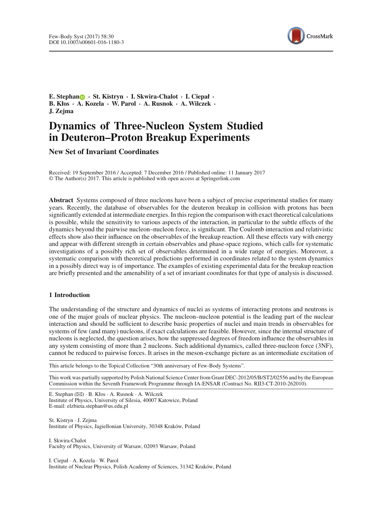

**E. Stepha[n](http://orcid.org/0000-0002-0757-1362) · St. Kistryn · I. Skwira-Chalot · I. Ciepał · B. Kłos · A. Kozela · W. Parol · A. Rusnok · A. Wilczek · J. Zejma**

## **Dynamics of Three-Nucleon System Studied in Deuteron–Proton Breakup Experiments**

**New Set of Invariant Coordinates**

Received: 19 September 2016 / Accepted: 7 December 2016 / Published online: 11 January 2017 © The Author(s) 2017. This article is published with open access at Springerlink.com

**Abstract** Systems composed of three nucleons have been a subject of precise experimental studies for many years. Recently, the database of observables for the deuteron breakup in collision with protons has been significantly extended at intermediate energies. In this region the comparison with exact theoretical calculations is possible, while the sensitivity to various aspects of the interaction, in particular to the subtle effects of the dynamics beyond the pairwise nucleon–nucleon force, is significant. The Coulomb interaction and relativistic effects show also their influence on the observables of the breakup reaction. All these effects vary with energy and appear with different strength in certain observables and phase-space regions, which calls for systematic investigations of a possibly rich set of observables determined in a wide range of energies. Moreover, a systematic comparison with theoretical predictions performed in coordinates related to the system dynamics in a possibly direct way is of importance. The examples of existing experimental data for the breakup reaction are briefly presented and the amenability of a set of invariant coordinates for that type of analysis is discussed.

### **1 Introduction**

The understanding of the structure and dynamics of nuclei as systems of interacting protons and neutrons is one of the major goals of nuclear physics. The nucleon–nucleon potential is the leading part of the nuclear interaction and should be sufficient to describe basic properties of nuclei and main trends in observables for systems of few (and many) nucleons, if exact calculations are feasible. However, since the internal structure of nucleons is neglected, the question arises, how the suppressed degrees of freedom influence the observables in any system consisting of more than 2 nucleons. Such additional dynamics, called three-nucleon force (3NF), cannot be reduced to pairwise forces. It arises in the meson-exchange picture as an intermediate excitation of

This article belongs to the Topical Collection "30th anniversary of Few-Body Systems".

This work was partially supported by Polish National Science Center from Grant DEC-2012/05/B/ST2/02556 and by the European Commission within the Seventh Framework Programme through IA-ENSAR (Contract No. RII3-CT-2010-262010).

E. Stephan  $(\boxtimes) \cdot B$ . Kłos  $\cdot A$ . Rusnok  $\cdot A$ . Wilczek Institute of Physics, University of Silesia, 40007 Katowice, Poland E-mail: elzbieta.stephan@us.edu.pl

St. Kistryn · J. Zejma Institute of Physics, Jagiellonian University, 30348 Kraków, Poland

I. Skwira-Chalot Faculty of Physics, University of Warsaw, 02093 Warsaw, Poland

I. Ciepał · A. Kozela · W. Parol Institute of Nuclear Physics, Polish Academy of Sciences, 31342 Kraków, Poland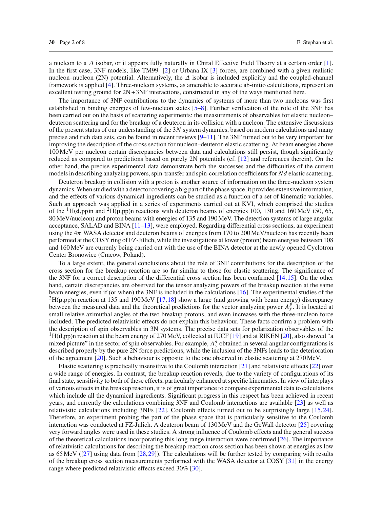a nucleon to a  $\Delta$  isobar, or it appears fully naturally in Chiral Effective Field Theory at a certain order [\[1\]](#page-7-0). In the first case, 3NF models, like TM99 [\[2](#page-7-1)] or Urbana IX [\[3](#page-7-2)] forces, are combined with a given realistic nucleon–nucleon (2N) potential. Alternatively, the  $\Delta$  isobar is included explicitly and the coupled-channel framework is applied [\[4\]](#page-7-3). Three-nucleon systems, as amenable to accurate ab-initio calculations, represent an excellent testing ground for 2N + 3NF interactions, constructed in any of the ways mentioned here.

The importance of 3NF contributions to the dynamics of systems of more than two nucleons was first established in binding energies of few-nucleon states [\[5](#page-7-4)[–8](#page-7-5)]. Further verification of the role of the 3NF has been carried out on the basis of scattering experiments: the measurements of observables for elastic nucleon– deuteron scattering and for the breakup of a deuteron in its collision with a nucleon. The extensive discussions of the present status of our understanding of the 3*N* system dynamics, based on modern calculations and many precise and rich data sets, can be found in recent reviews [\[9](#page-7-6)[–11](#page-7-7)]. The 3NF turned out to be very important for improving the description of the cross section for nucleon–deuteron elastic scattering. At beam energies above 100 MeV per nucleon certain discrepancies between data and calculations still persist, though significantly reduced as compared to predictions based on purely 2N potentials (cf. [\[12\]](#page-7-8) and references therein). On the other hand, the precise experimental data demonstrate both the successes and the difficulties of the current models in describing analyzing powers, spin-transfer and spin-correlation coefficients for *N d* elastic scattering.

Deuteron breakup in collision with a proton is another source of information on the three-nucleon system dynamics. When studied with a detector covering a big part of the phase space, it provides extensive information, and the effects of various dynamical ingredients can be studied as a function of a set of kinematic variables. Such an approach was applied in a series of experiments carried out at KVI, which comprised the studies of the <sup>1</sup>H(**d**,pp)n and <sup>2</sup>H(**p**,pp)n reactions with deuteron beams of energies 100, 130 and 160 MeV (50, 65, 80 MeV/nucleon) and proton beams with energies of 135 and 190 MeV. The detection systems of large angular acceptance, SALAD and BINA [\[11](#page-7-7)[–13](#page-8-0)], were employed. Regarding differential cross sections, an experiment using the  $4\pi$  WASA detector and deuteron beams of energies from 170 to 200 MeV/nucleon has recently been performed at the COSY ring of FZ-Jülich, while the investigations at lower (proton) beam energies between 108 and 160 MeV are currenly being carried out with the use of the BINA detector at the newly opened Cyclotron Center Bronowice (Cracow, Poland).

To a large extent, the general conclusions about the role of 3NF contributions for the description of the cross section for the breakup reaction are so far similar to those for elastic scattering. The significance of the 3NF for a correct description of the differential cross section has been confirmed [\[14](#page-8-1)[,15](#page-8-2)]. On the other hand, certain discrepancies are observed for the tensor analyzing powers of the breakup reaction at the same beam energies, even if (or when) the 3NF is included in the calculations [\[16\]](#page-8-3). The experimental studies of the  ${}^{2}H(p,pp)$ n reaction at 135 and 190 MeV [\[17](#page-8-4),[18\]](#page-8-5) show a large (and growing with beam energy) discrepancy between the measured data and the theoretical predictions for the vector analyzing power  $A_y^p$ . It is located at small relative azimuthal angles of the two breakup protons, and even increases with the three-nucleon force included. The predicted relativistic effects do not explain this behaviour. These facts confirm a problem with the description of spin observables in 3N systems. The precise data sets for polarization observables of the  ${}^{1}H(d,pp)$ n reaction at the beam energy of 270 MeV, collected at IUCF [\[19](#page-8-6)] and at RIKEN [\[20\]](#page-8-7), also showed "a mixed picture" in the sector of spin observables. For example,  $A_y^d$  obtained in several angular configurations is described properly by the pure 2N force predictions, while the inclusion of the 3NFs leads to the deterioration of the agreement [\[20\]](#page-8-7). Such a behaviour is opposite to the one observed in elastic scattering at 270 MeV.

Elastic scattering is practically insensitive to the Coulomb interaction [\[21\]](#page-8-8) and relativistic effects [\[22](#page-8-9)] over a wide range of energies. In contrast, the breakup reaction reveals, due to the variety of configurations of its final state, sensitivity to both of these effects, particularly enhanced at specific kinematics. In view of interplays of various effects in the breakup reaction, it is of great importance to compare experimental data to calculations which include all the dynamical ingredients. Significant progress in this respect has been achieved in recent years, and currently the calculations combining 3NF and Coulomb interactions are available [\[23\]](#page-8-10) as well as relativistic calculations including 3NFs [\[22](#page-8-9)]. Coulomb effects turned out to be surprisingly large [\[15](#page-8-2)[,24\]](#page-8-11). Therefore, an experiment probing the part of the phase space that is particularly sensitive to the Coulomb interaction was conducted at FZ-Jülich. A deuteron beam of 130 MeV and the GeWall detector [\[25](#page-8-12)] covering very forward angles were used in these studies. A strong influence of Coulomb effects and the general success of the theoretical calculations incorporating this long range interaction were confirmed  $[26]$ . The importance of relativistic calculations for describing the breakup reaction cross section has been shown at energies as low as 65 MeV ([\[27\]](#page-8-14) using data from [\[28](#page-8-15),[29\]](#page-8-16)). The calculations will be further tested by comparing with results of the breakup cross section measurements performed with the WASA detector at COSY [\[31](#page-8-17)] in the energy range where predicted relativistic effects exceed 30% [\[30\]](#page-8-18).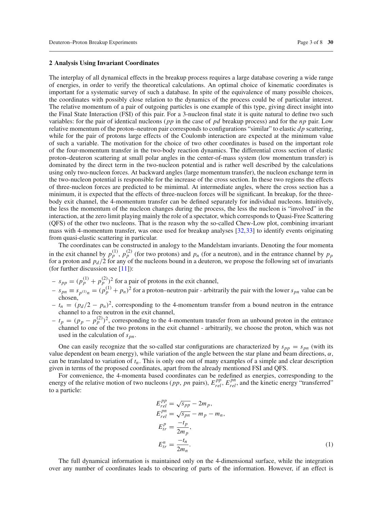#### **2 Analysis Using Invariant Coordinates**

The interplay of all dynamical effects in the breakup process requires a large database covering a wide range of energies, in order to verify the theoretical calculations. An optimal choice of kinematic coordinates is important for a systematic survey of such a database. In spite of the equivalence of many possible choices, the coordinates with possibly close relation to the dynamics of the process could be of particular interest. The relative momentum of a pair of outgoing particles is one example of this type, giving direct insight into the Final State Interaction (FSI) of this pair. For a 3-nucleon final state it is quite natural to define two such variables: for the pair of identical nucleons (*pp* in the case of *pd* breakup process) and for the *np* pair. Low relative momentum of the proton–neutron pair corresponds to configurations "similar" to elastic  $dp$  scattering, while for the pair of protons large effects of the Coulomb interaction are expected at the minimum value of such a variable. The motivation for the choice of two other coordinates is based on the important role of the four-momentum transfer in the two-body reaction dynamics. The differential cross section of elastic proton–deuteron scattering at small polar angles in the center-of-mass system (low momentum transfer) is dominated by the direct term in the two-nucleon potential and is rather well described by the calculations using only two-nucleon forces. At backward angles (large momentum transfer), the nucleon exchange term in the two-nucleon potential is responsible for the increase of the cross section. In these two regions the effects of three-nucleon forces are predicted to be mimimal. At intermediate angles, where the cross section has a minimum, it is expected that the effects of three-nucleon forces will be significant. In breakup, for the threebody exit channel, the 4-momentum transfer can be defined separately for individual nucleons. Intuitively, the less the momentum of the nucleon changes during the process, the less the nucleon is "involved" in the interaction, at the zero limit playing mainly the role of a spectator, which corresponds to Quasi-Free Scattering (QFS) of the other two nucleons. That is the reason why the so-called Chew-Low plot, combining invariant mass with 4-momentum transfer, was once used for breakup analyses [\[32,](#page-8-19)[33](#page-8-20)] to identify events originating from quasi-elastic scattering in particular.

The coordinates can be constructed in analogy to the Mandelstam invariants. Denoting the four momenta in the exit channel by  $p_p^{(1)}$ ,  $p_p^{(2)}$  (for two protons) and  $p_n$  (for a neutron), and in the entrance channel by  $p_p$ for a proton and  $p_d/2$  for any of the nucleons bound in a deuteron, we propose the following set of invariants (for further discussion see  $[11]$  $[11]$ ):

- $s_{pp} = (p_p^{(1)} + p_p^{(2)})^2$  for a pair of protons in the exit channel,
- $s_{pn} \equiv s_{p^{(1)}n} = (p_p^{(1)} + p_n)^2$  for a proton–neutron pair arbitrarily the pair with the lower  $s_{pn}$  value can be chosen,
- $t_n = (p_d/2 p_n)^2$ , corresponding to the 4-momentum transfer from a bound neutron in the entrance channel to a free neutron in the exit channel,
- $t_p = (p_p p_p^{(2)})^2$ , corresponding to the 4-momentum transfer from an unbound proton in the entrance channel to one of the two protons in the exit channel - arbitrarily, we choose the proton, which was not used in the calculation of  $s_{pn}$ .

One can easily recognize that the so-called star configurations are characterized by  $s_{pp} = s_{pn}$  (with its value dependent on beam energy), while variation of the angle between the star plane and beam directions,  $\alpha$ , can be translated to variation of  $t_n$ . This is only one out of many examples of a simple and clear description given in terms of the proposed coordinates, apart from the already mentioned FSI and QFS.

For convenience, the 4-momenta based coordinates can be redefined as energies, corresponding to the energy of the relative motion of two nucleons (pp, pn pairs),  $E_{rel}^{pp}$ ,  $E_{rel}^{pn}$ , and the kinetic energy "transferred" to a particle:

$$
E_{rel}^{pp} = \sqrt{s_{pp}} - 2m_p,
$$
  
\n
$$
E_{rel}^{pn} = \sqrt{s_{pn}} - m_p - m_n,
$$
  
\n
$$
E_{tr}^p = \frac{-t_p}{2m_p},
$$
  
\n
$$
E_{tr}^n = \frac{-t_n}{2m_n}.
$$
\n(1)

The full dynamical information is maintained only on the 4-dimensional surface, while the integration over any number of coordinates leads to obscuring of parts of the information. However, if an effect is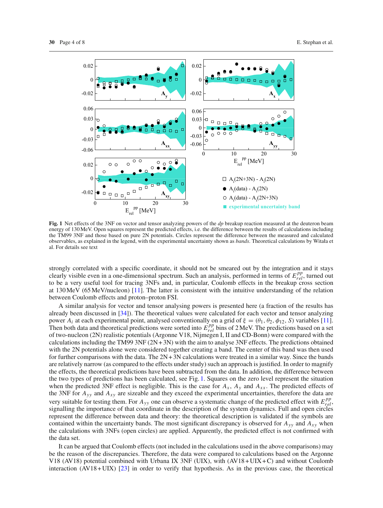

<span id="page-4-0"></span>**Fig. 1** Net effects of the 3NF on vector and tensor analyzing powers of the *dp* breakup reaction measured at the deuteron beam energy of 130 MeV. Open squares represent the predicted effects, i.e. the difference between the results of calculations including the TM99 3NF and those based on pure 2N potentials. Circles represent the difference between the measured and calculated observables, as explained in the legend, with the experimental uncertainty shown as *bands*. Theoretical calculations by Witała et al. For details see text

strongly correlated with a specific coordinate, it should not be smeared out by the integration and it stays clearly visible even in a one-dimensional spectrum. Such an analysis, performed in terms of  $E_{rel}^{pp}$ , turned out to be a very useful tool for tracing 3NFs and, in particular, Coulomb effects in the breakup cross section at 130 MeV (65 MeV/nucleon) [\[11\]](#page-7-7). The latter is consistent with the intuitive understanding of the relation between Coulomb effects and proton–proton FSI.

A similar analysis for vector and tensor analysing powers is presented here (a fraction of the results has already been discussed in [\[34](#page-8-21)]). The theoretical values were calculated for each vector and tensor analyzing power  $A_i$  at each experimental point, analysed conventionally on a grid of  $\xi = (\theta_1, \theta_2, \phi_{12}, S)$  variables [\[11\]](#page-7-7).<br>Then both data and theoretical predictions were sorted into  $E_{rel}^{pp}$  bins of 2 MeV. The predictions base of two-nucleon (2N) realistic potentials (Argonne V18, Nijmegen I, II and CD-Bonn) were compared with the calculations including the TM99 3NF (2N + 3N) with the aim to analyse 3NF effects. The predictions obtained with the 2N potentials alone were considered together creating a band. The center of this band was then used for further comparisons with the data. The  $2N + 3N$  calculations were treated in a similar way. Since the bands are relatively narrow (as compared to the effects under study) such an approach is justified. In order to magnify the effects, the theoretical predictions have been subtracted from the data. In addition, the difference between the two types of predictions has been calculated, see Fig. [1.](#page-4-0) Squares on the zero level represent the situation when the predicted 3NF effect is negligible. This is the case for  $A_x$ ,  $A_y$  and  $A_{xx}$ . The predicted effects of the 3NF for  $A_{yy}$  and  $A_{xy}$  are sizeable and they exceed the experimental uncertainties, therefore the data are very suitable for testing them. For  $A_{yy}$  one can observe a systematic change of the predicted effect with  $E_{rel}^{pp}$ , signalling the importance of that coordinate in the description of the system dynamics. Full and open circles represent the difference between data and theory: the theoretical description is validated if the symbols are contained within the uncertainty bands. The most significant discrepancy is observed for  $A_{yy}$  and  $A_{xy}$  when the calculations with 3NFs (open circles) are applied. Apparently, the predicted effect is not confirmed with the data set.

It can be argued that Coulomb effects (not included in the calculations used in the above comparisons) may be the reason of the discrepancies. Therefore, the data were compared to calculations based on the Argonne V18 (AV18) potential combined with Urbana IX 3NF (UIX), with (AV18 + UIX + C) and without Coulomb interaction (AV18 + UIX) [\[23](#page-8-10)] in order to verify that hypothesis. As in the previous case, the theoretical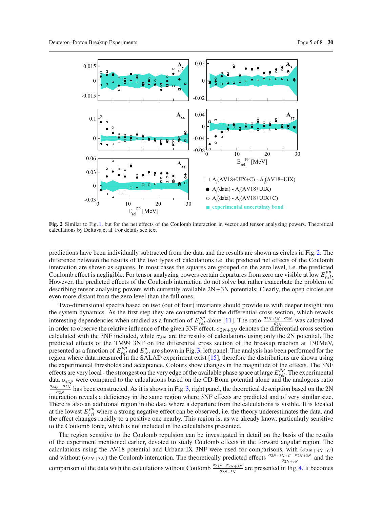

<span id="page-5-0"></span>**Fig. 2** Similar to Fig. [1,](#page-4-0) but for the net effects of the Coulomb interaction in vector and tensor analyzing powers. Theoretical calculations by Deltuva et al. For details see text

predictions have been individually subtracted from the data and the results are shown as circles in Fig. [2.](#page-5-0) The difference between the results of the two types of calculations i.e. the predicted net effects of the Coulomb interaction are shown as squares. In most cases the squares are grouped on the zero level, i.e. the predicted Coulomb effect is negligible. For tensor analyzing powers certain departures from zero are visible at low  $E_{rel}^{pp}$ . However, the predicted effects of the Coulomb interaction do not solve but rather exacerbate the problem of describing tensor analysing powers with currently available  $2N + 3N$  potentials: Clearly, the open circles are even more distant from the zero level than the full ones.

Two-dimensional spectra based on two (out of four) invariants should provide us with deeper insight into the system dynamics. As the first step they are constructed for the differential cross section, which reveals interesting dependencies when studied as a function of  $E_{rel}^{PP}$  alone [\[11\]](#page-7-7). The ratio  $\frac{\sigma_{2N+3N} - \sigma_{2N}}{\sigma_{2N}}$  was calculated in order to observe the relative influence of the given 3NF effect.  $\sigma_{2N+3N}$  denotes the differential cross section calculated with the 3NF included, while  $\sigma_{2N}$  are the results of calculations using only the 2N potential. The predicted effects of the TM99 3NF on the differential cross section of the breakup reaction at 130 MeV, presented as a function of  $E_{rel}^{pp}$  and  $E_{tr}^n$ , are shown in Fig. [3,](#page-6-0) left panel. The analysis has been performed for the region where data measured in the SALAD experiment exist [\[15](#page-8-2)], therefore the distributions are shown using the experimental thresholds and acceptance. Colours show changes in the magnitude of the effects. The 3NF effects are very local - the strongest on the very edge of the available phase space at large *E pp rel* . The experimental data  $\sigma_{exp}$  were compared to the calculations based on the CD-Bonn potential alone and the analogous ratio  $\frac{\sigma_{exp} - \sigma_{2N}}{\sigma_{2N}}$  has been constructed. As it is shown in Fig. [3,](#page-6-0) right panel, the theoretical description b interaction reveals a deficiency in the same region where 3NF effects are predicted and of very similar size. There is also an additional region in the data where a departure from the calculations is visible. It is located at the lowest  $E_{rel}^{pp}$  where a strong negative effect can be observed, i.e. the theory underestimates the data, and the effect changes rapidly to a positive one nearby. This region is, as we already know, particularly sensitive to the Coulomb force, which is not included in the calculations presented.

The region sensitive to the Coulomb repulsion can be investigated in detail on the basis of the results of the experiment mentioned earlier, devoted to study Coulomb effects in the forward angular region. The calculations using the AV18 potential and Urbana IX 3NF were used for comparisons, with  $(\sigma_{2N+3N+C})$ and without  $(\sigma_{2N+3N})$  the Coulomb interaction. The theoretically predicted effects  $\frac{\sigma_{2N+3N}+\sigma_{2N+3N}}{\sigma_{2N+3N}}$  and the comparison of the data with the calculations without Coulomb  $\frac{\sigma_{exp} - \sigma_{2N+3N}}{\sigma_{2N+3N}}$  are presented in Fig. [4.](#page-6-1) It becomes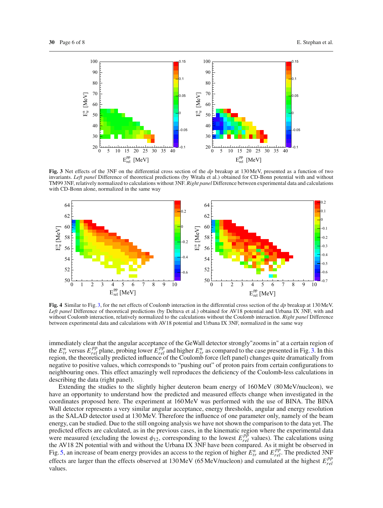

<span id="page-6-0"></span>**Fig. 3** Net effects of the 3NF on the differential cross section of the *dp* breakup at 130 MeV, presented as a function of two invariants. *Left panel* Difference of theoretical predictions (by Witała et al.) obtained for CD-Bonn potential with and without TM99 3NF, relatively normalized to calculations without 3NF. *Right panel* Difference between experimental data and calculations with CD-Bonn alone, normalized in the same way



<span id="page-6-1"></span>**Fig. 4** Similar to Fig. [3,](#page-6-0) for the net effects of Coulomb interaction in the differential cross section of the *dp* breakup at 130 MeV. *Left panel* Difference of theoretical predictions (by Deltuva et al.) obtained for AV18 potential and Urbana IX 3NF, with and without Coulomb interaction, relatively normalized to the calculations without the Coulomb interaction. *Right panel* Difference between experimental data and calculations with AV18 potential and Urbana IX 3NF, normalized in the same way

immediately clear that the angular acceptance of the GeWall detector strongly"zooms in" at a certain region of the  $E_{tr}^n$  versus  $E_{rel}^{pp}$  plane, probing lower  $E_{rel}^{pp}$  and higher  $E_{tr}^n$  as compared to the case presented in Fig. [3.](#page-6-0) In this region, the theoretically predicted influence of the Coulomb force (left panel) changes quite dramatically from negative to positive values, which corresponds to "pushing out" of proton pairs from certain configurations to neighbouring ones. This effect amazingly well reproduces the deficiency of the Coulomb-less calculations in describing the data (right panel).

Extending the studies to the slightly higher deuteron beam energy of 160 MeV (80 MeV/nucleon), we have an opportunity to understand how the predicted and measured effects change when investigated in the coordinates proposed here. The experiment at 160 MeV was performed with the use of BINA. The BINA Wall detector represents a very similar angular acceptance, energy thresholds, angular and energy resolution as the SALAD detector used at 130 MeV. Therefore the influence of one parameter only, namely of the beam energy, can be studied. Due to the still ongoing analysis we have not shown the comparison to the data yet. The predicted effects are calculated, as in the previous cases, in the kinematic region where the experimental data<br>were measured (excluding the lowest  $\phi_{12}$ , corresponding to the lowest  $E_{rel}^{pp}$  values). The calculations the AV18 2N potential with and without the Urbana IX 3NF have been compared. As it might be observed in Fig. [5,](#page-7-9) an increase of beam energy provides an access to the region of higher  $E^n_{tr}$  and  $E^{pp}_{rel}$ . The predicted 3NF effects are larger than the effects observed at 130 MeV (65 MeV/nucleon) and cumulated at the highest  $E_{rel}^{pp}$ values.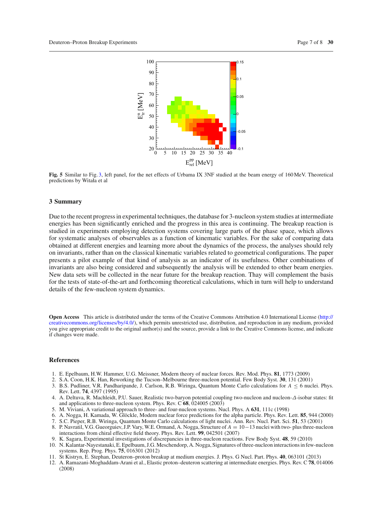

<span id="page-7-9"></span>**Fig. 5** Similar to Fig. [3,](#page-6-0) left panel, for the net effects of Urbama IX 3NF studied at the beam energy of 160 MeV. Theoretical predictions by Witała et al

#### **3 Summary**

Due to the recent progress in experimental techniques, the database for 3-nucleon system studies at intermediate energies has been significantly enriched and the progress in this area is continuing. The breakup reaction is studied in experiments employing detection systems covering large parts of the phase space, which allows for systematic analyses of observables as a function of kinematic variables. For the sake of comparing data obtained at different energies and learning more about the dynamics of the process, the analyses should rely on invariants, rather than on the classical kinematic variables related to geometrical configurations. The paper presents a pilot example of that kind of analysis as an indicator of its usefulness. Other combinations of invariants are also being considered and subsequently the analysis will be extended to other beam energies. New data sets will be collected in the near future for the breakup reaction. Thay will complement the basis for the tests of state-of-the-art and forthcoming theoretical calculations, which in turn will help to understand details of the few-nucleon system dynamics.

**Open Access** This article is distributed under the terms of the Creative Commons Attribution 4.0 International License [\(http://](http://creativecommons.org/licenses/by/4.0/) [creativecommons.org/licenses/by/4.0/\)](http://creativecommons.org/licenses/by/4.0/), which permits unrestricted use, distribution, and reproduction in any medium, provided you give appropriate credit to the original author(s) and the source, provide a link to the Creative Commons license, and indicate if changes were made.

#### **References**

- <span id="page-7-0"></span>1. E. Epelbaum, H.W. Hammer, U.G. Meissner, Modern theory of nuclear forces. Rev. Mod. Phys. **81**, 1773 (2009)
- <span id="page-7-1"></span>2. S.A. Coon, H.K. Han, Reworking the Tucson–Melbourne three-nucleon potential. Few Body Syst. **30**, 131 (2001)
- <span id="page-7-2"></span>3. B.S. Pudliner, V.R. Pandharipande, J. Carlson, R.B. Wiringa, Quantum Monte Carlo calculations for *A* ≤ 6 nuclei. Phys. Rev. Lett. **74**, 4397 (1995)
- <span id="page-7-3"></span>4. A. Deltuva, R. Machleidt, P.U. Sauer, Realistic two-baryon potential coupling two-nucleon and nucleon-Δ-isobar states: fit and applications to three-nucleon system. Phys. Rev. C **68**, 024005 (2003)
- <span id="page-7-4"></span>5. M. Viviani, A variational approach to three- and four-nucleon systems. Nucl. Phys. A **631**, 111c (1998)
- 6. A. Nogga, H. Kamada, W. Glöckle, Modern nuclear force predictions for the alpha particle. Phys. Rev. Lett. **85**, 944 (2000)
- 7. S.C. Pieper, R.B. Wiringa, Quantum Monte Carlo calculations of light nuclei. Ann. Rev. Nucl. Part. Sci. **51**, 53 (2001)
- <span id="page-7-5"></span>8. P. Navratil, V.G. Gueorguiev, J.P. Vary, W.E. Ormand, A. Nogga, Structure of *A* = 10−13 nuclei with two- plus three-nucleon interactions from chiral effective field theory. Phys. Rev. Lett. **99**, 042501 (2007)
- <span id="page-7-6"></span>9. K. Sagara, Experimental investigations of discrepancies in three-nucleon reactions. Few Body Syst. **48**, 59 (2010)
- 10. N. Kalantar-Nayestanaki, E. Epelbaum, J.G. Meschendorp, A. Nogga, Signatures of three-nucleon interactions in few-nucleon systems. Rep. Prog. Phys. **75**, 016301 (2012)
- <span id="page-7-7"></span>11. St Kistryn, E. Stephan, Deuteron–proton breakup at medium energies. J. Phys. G Nucl. Part. Phys. **40**, 063101 (2013)
- <span id="page-7-8"></span>12. A. Ramazani-Moghaddam-Arani et al., Elastic proton–deuteron scattering at intermediate energies. Phys. Rev. C **78**, 014006 (2008)